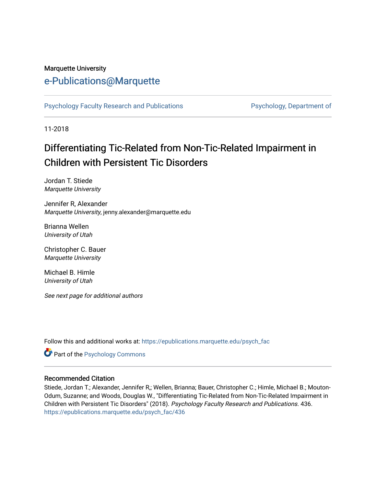### Marquette University

# [e-Publications@Marquette](https://epublications.marquette.edu/)

[Psychology Faculty Research and Publications](https://epublications.marquette.edu/psych_fac) **Properties Psychology, Department of** 

11-2018

# Differentiating Tic-Related from Non-Tic-Related Impairment in Children with Persistent Tic Disorders

Jordan T. Stiede Marquette University

Jennifer R, Alexander Marquette University, jenny.alexander@marquette.edu

Brianna Wellen University of Utah

Christopher C. Bauer Marquette University

Michael B. Himle University of Utah

See next page for additional authors

Follow this and additional works at: [https://epublications.marquette.edu/psych\\_fac](https://epublications.marquette.edu/psych_fac?utm_source=epublications.marquette.edu%2Fpsych_fac%2F436&utm_medium=PDF&utm_campaign=PDFCoverPages)

**Part of the Psychology Commons** 

#### Recommended Citation

Stiede, Jordan T.; Alexander, Jennifer R,; Wellen, Brianna; Bauer, Christopher C.; Himle, Michael B.; Mouton-Odum, Suzanne; and Woods, Douglas W., "Differentiating Tic-Related from Non-Tic-Related Impairment in Children with Persistent Tic Disorders" (2018). Psychology Faculty Research and Publications. 436. [https://epublications.marquette.edu/psych\\_fac/436](https://epublications.marquette.edu/psych_fac/436?utm_source=epublications.marquette.edu%2Fpsych_fac%2F436&utm_medium=PDF&utm_campaign=PDFCoverPages)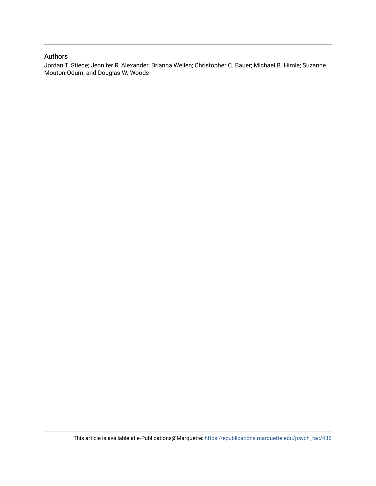#### Authors

Jordan T. Stiede; Jennifer R, Alexander; Brianna Wellen; Christopher C. Bauer; Michael B. Himle; Suzanne Mouton-Odum; and Douglas W. Woods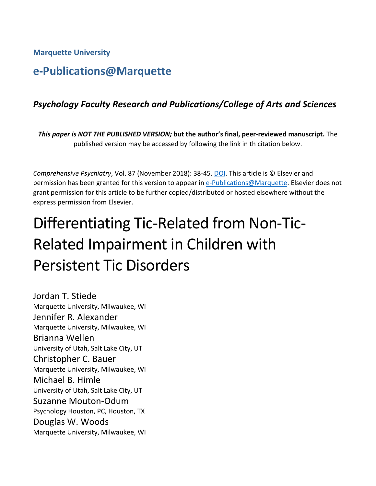**Marquette University**

# **e-Publications@Marquette**

# *Psychology Faculty Research and Publications/College of Arts and Sciences*

*This paper is NOT THE PUBLISHED VERSION;* **but the author's final, peer-reviewed manuscript.** The published version may be accessed by following the link in th citation below.

*Comprehensive Psychiatry*, Vol. 87 (November 2018): 38-45. [DOI.](https://doi.org/10.1016/j.comppsych.2018.07.017) This article is © Elsevier and permission has been granted for this version to appear in [e-Publications@Marquette.](http://epublications.marquette.edu/) Elsevier does not grant permission for this article to be further copied/distributed or hosted elsewhere without the express permission from Elsevier.

# Differentiating Tic-Related from Non-Tic-Related Impairment in Children with Persistent Tic Disorders

Jordan T. Stiede Marquette University, Milwaukee, WI Jennifer R. Alexander Marquette University, Milwaukee, WI Brianna Wellen University of Utah, Salt Lake City, UT Christopher C. Bauer Marquette University, Milwaukee, WI Michael B. Himle University of Utah, Salt Lake City, UT Suzanne Mouton-Odum Psychology Houston, PC, Houston, TX Douglas W. Woods Marquette University, Milwaukee, WI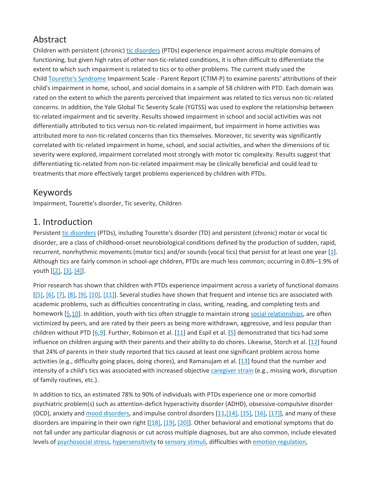# Abstract

Children with persistent (chronic) [tic disorders](https://www.sciencedirect.com/topics/medicine-and-dentistry/tic-disorder) (PTDs) experience impairment across multiple domains of functioning, but given high rates of other non-tic-related conditions, it is often difficult to differentiate the extent to which such impairment is related to tics or to other problems. The current study used the Child [Tourette's Syndrome](https://www.sciencedirect.com/topics/medicine-and-dentistry/gilles-de-la-tourette-syndrome) Impairment Scale - Parent Report (CTIM-P) to examine parents' attributions of their child's impairment in home, school, and social domains in a sample of 58 children with PTD. Each domain was rated on the extent to which the parents perceived that impairment was related to tics versus non-tic-related concerns. In addition, the Yale Global Tic Severity Scale (YGTSS) was used to explore the relationship between tic-related impairment and tic severity. Results showed impairment in school and social activities was not differentially attributed to tics versus non-tic-related impairment, but impairment in home activities was attributed more to non-tic-related concerns than tics themselves. Moreover, tic severity was significantly correlated with tic-related impairment in home, school, and social activities, and when the dimensions of tic severity were explored, impairment correlated most strongly with motor tic complexity. Results suggest that differentiating tic-related from non-tic-related impairment may be clinically beneficial and could lead to treatments that more effectively target problems experienced by children with PTDs.

# Keywords

Impairment, Tourette's disorder, Tic severity, Children

# 1. Introduction

Persistent [tic disorders](https://www.sciencedirect.com/topics/medicine-and-dentistry/tic-disorder) (PTDs), including Tourette's disorder (TD) and persistent (chronic) motor or vocal tic disorder, are a class of childhood-onset neurobiological conditions defined by the production of sudden, rapid, recurrent, nonrhythmic movements (motor tics) and/or sounds (vocal tics) that persist for at least one year [\[1\]](https://www.sciencedirect.com/science/article/pii/S0010440X1830141X?via%3Dihub#bb0005). Although tics are fairly common in school-age children, PTDs are much less common; occurring in 0.8%–1.9% of youth [\[\[2\],](https://www.sciencedirect.com/science/article/pii/S0010440X1830141X?via%3Dihub#bb0010) [\[3\],](https://www.sciencedirect.com/science/article/pii/S0010440X1830141X?via%3Dihub#bb0015) [\[4\]\]](https://www.sciencedirect.com/science/article/pii/S0010440X1830141X?via%3Dihub#bb0020).

Prior research has shown that children with PTDs experience impairment across a variety of functional domains [\[\[5\],](https://www.sciencedirect.com/science/article/pii/S0010440X1830141X?via%3Dihub#bb0025) [\[6\],](https://www.sciencedirect.com/science/article/pii/S0010440X1830141X?via%3Dihub#bb0030) [\[7\],](https://www.sciencedirect.com/science/article/pii/S0010440X1830141X?via%3Dihub#bb0035) [\[8\],](https://www.sciencedirect.com/science/article/pii/S0010440X1830141X?via%3Dihub#bb0040) [\[9\],](https://www.sciencedirect.com/science/article/pii/S0010440X1830141X?via%3Dihub#bb0045) [\[10\],](https://www.sciencedirect.com/science/article/pii/S0010440X1830141X?via%3Dihub#bb0050) [\[11\]\]](https://www.sciencedirect.com/science/article/pii/S0010440X1830141X?via%3Dihub#bb0055). Several studies have shown that frequent and intense tics are associated with academic problems, such as difficulties concentrating in class, writing, reading, and completing tests and homework [\[5](https://www.sciencedirect.com/science/article/pii/S0010440X1830141X?via%3Dihub#bb0025)[,10\]](https://www.sciencedirect.com/science/article/pii/S0010440X1830141X?via%3Dihub#bb0050). In addition, youth with tics often struggle to maintain strong [social relationships,](https://www.sciencedirect.com/topics/medicine-and-dentistry/social-interaction) are often victimized by peers, and are rated by their peers as being more withdrawn, aggressive, and less popular than children without PTD [\[6](https://www.sciencedirect.com/science/article/pii/S0010440X1830141X?via%3Dihub#bb0030)[,9\]](https://www.sciencedirect.com/science/article/pii/S0010440X1830141X?via%3Dihub#bb0045). Further, Robinson et al. [\[11\]](https://www.sciencedirect.com/science/article/pii/S0010440X1830141X?via%3Dihub#bb0055) and Espil et al. [\[5\]](https://www.sciencedirect.com/science/article/pii/S0010440X1830141X?via%3Dihub#bb0025) demonstrated that tics had some influence on children arguing with their parents and their ability to do chores. Likewise, Storch et al. [\[12\]](https://www.sciencedirect.com/science/article/pii/S0010440X1830141X?via%3Dihub#bb0060) found that 24% of parents in their study reported that tics caused at least one significant problem across home activities (e.g., difficulty going places, doing chores), and Ramanujam et al. [\[13\]](https://www.sciencedirect.com/science/article/pii/S0010440X1830141X?via%3Dihub#bb0065) found that the number and intensity of a child's tics was associated with increased objective [caregiver strain](https://www.sciencedirect.com/topics/medicine-and-dentistry/caregiver-burden) (e.g., missing work, disruption of family routines, etc.).

In addition to tics, an estimated 78% to 90% of individuals with PTDs experience one or more comorbid psychiatric problem(s) such as attention-deficit hyperactivity disorder (ADHD), obsessive-compulsive disorder (OCD), anxiety and [mood disorders,](https://www.sciencedirect.com/topics/medicine-and-dentistry/mood-disorder) and impulse control disorders  $[11,14,16]$  $[11,14,16]$ ,  $[15]$ ,  $[16]$ ,  $[17]$ ], and many of these disorders are impairing in their own right [\[\[18\],](https://www.sciencedirect.com/science/article/pii/S0010440X1830141X?via%3Dihub#bb0090) [\[19\],](https://www.sciencedirect.com/science/article/pii/S0010440X1830141X?via%3Dihub#bb0095) [\[20\]\]](https://www.sciencedirect.com/science/article/pii/S0010440X1830141X?via%3Dihub#bb0100). Other behavioral and emotional symptoms that do not fall under any particular diagnosis or cut across multiple diagnoses, but are also common, include elevated levels of [psychosocial](https://www.sciencedirect.com/topics/medicine-and-dentistry/mental-stress) stress, [hypersensitivity](https://www.sciencedirect.com/topics/medicine-and-dentistry/hypersensitivity) to [sensory stimuli,](https://www.sciencedirect.com/topics/medicine-and-dentistry/sensory-stimulation) difficulties with [emotion regulation,](https://www.sciencedirect.com/topics/psychology/emotion-regulation)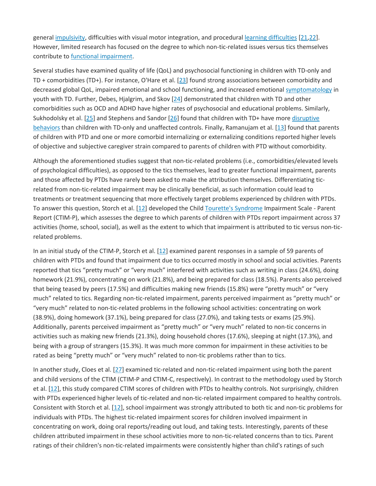general [impulsivity,](https://www.sciencedirect.com/topics/medicine-and-dentistry/impulsiveness) difficulties with visual motor integration, and procedural [learning difficulties](https://www.sciencedirect.com/topics/medicine-and-dentistry/learning-disorder) [\[21](https://www.sciencedirect.com/science/article/pii/S0010440X1830141X?via%3Dihub#bb0105)[,22\]](https://www.sciencedirect.com/science/article/pii/S0010440X1830141X?via%3Dihub#bb0110). However, limited research has focused on the degree to which non-tic-related issues versus tics themselves contribute to [functional impairment.](https://www.sciencedirect.com/topics/medicine-and-dentistry/functional-disease)

Several studies have examined quality of life (QoL) and psychosocial functioning in children with TD-only and TD + comorbidities (TD+). For instance, O'Hare et al. [[23\]](https://www.sciencedirect.com/science/article/pii/S0010440X1830141X?via%3Dihub#bb0115) found strong associations between comorbidity and decreased global QoL, impaired emotional and school functioning, and increased emotional [symptomatology](https://www.sciencedirect.com/topics/medicine-and-dentistry/symptomatology) in youth with TD. Further, Debes, Hjalgrim, and Skov [\[24\]](https://www.sciencedirect.com/science/article/pii/S0010440X1830141X?via%3Dihub#bb0120) demonstrated that children with TD and other comorbidities such as OCD and ADHD have higher rates of psychosocial and educational problems. Similarly, Sukhodolsky et al. [\[25\]](https://www.sciencedirect.com/science/article/pii/S0010440X1830141X?via%3Dihub#bb0125) and Stephens and Sandor [\[26](https://www.sciencedirect.com/science/article/pii/S0010440X1830141X?via%3Dihub#bb0130)] found that children with TD+ have more [disruptive](https://www.sciencedirect.com/topics/medicine-and-dentistry/disruptive-behavior)  [behaviors](https://www.sciencedirect.com/topics/medicine-and-dentistry/disruptive-behavior) than children with TD-only and unaffected controls. Finally, Ramanujam et al. [\[13\]](https://www.sciencedirect.com/science/article/pii/S0010440X1830141X?via%3Dihub#bb0065) found that parents of children with PTD and one or more comorbid internalizing or externalizing conditions reported higher levels of objective and subjective caregiver strain compared to parents of children with PTD without comorbidity.

Although the aforementioned studies suggest that non-tic-related problems (i.e., comorbidities/elevated levels of psychological difficulties), as opposed to the tics themselves, lead to greater functional impairment, parents and those affected by PTDs have rarely been asked to make the attribution themselves. Differentiating ticrelated from non-tic-related impairment may be clinically beneficial, as such information could lead to treatments or treatment sequencing that more effectively target problems experienced by children with PTDs. To answer this question, Storch et al. [\[12\]](https://www.sciencedirect.com/science/article/pii/S0010440X1830141X?via%3Dihub#bb0060) developed the Child [Tourette's Syndrome](https://www.sciencedirect.com/topics/medicine-and-dentistry/gilles-de-la-tourette-syndrome) Impairment Scale - Parent Report (CTIM-P), which assesses the degree to which parents of children with PTDs report impairment across 37 activities (home, school, social), as well as the extent to which that impairment is attributed to tic versus non-ticrelated problems.

In an initial study of the CTIM-P, Storch et al. [\[12\]](https://www.sciencedirect.com/science/article/pii/S0010440X1830141X?via%3Dihub#bb0060) examined parent responses in a sample of 59 parents of children with PTDs and found that impairment due to tics occurred mostly in school and social activities. Parents reported that tics "pretty much" or "very much" interfered with activities such as writing in class (24.6%), doing homework (21.9%), concentrating on work (21.8%), and being prepared for class (18.5%). Parents also perceived that being teased by peers (17.5%) and difficulties making new friends (15.8%) were "pretty much" or "very much" related to tics. Regarding non-tic-related impairment, parents perceived impairment as "pretty much" or "very much" related to non-tic-related problems in the following school activities: concentrating on work (38.9%), doing homework (37.1%), being prepared for class (27.0%), and taking tests or exams (25.9%). Additionally, parents perceived impairment as "pretty much" or "very much" related to non-tic concerns in activities such as making new friends (21.3%), doing household chores (17.6%), sleeping at night (17.3%), and being with a group of strangers (15.3%). It was much more common for impairment in these activities to be rated as being "pretty much" or "very much" related to non-tic problems rather than to tics.

In another study, Cloes et al. [\[27\]](https://www.sciencedirect.com/science/article/pii/S0010440X1830141X?via%3Dihub#bb0135) examined tic-related and non-tic-related impairment using both the parent and child versions of the CTIM (CTIM-P and CTIM-C, respectively). In contrast to the methodology used by Storch et al. [\[12\]](https://www.sciencedirect.com/science/article/pii/S0010440X1830141X?via%3Dihub#bb0060), this study compared CTIM scores of children with PTDs to healthy controls. Not surprisingly, children with PTDs experienced higher levels of tic-related and non-tic-related impairment compared to healthy controls. Consistent with Storch et al. [\[12\]](https://www.sciencedirect.com/science/article/pii/S0010440X1830141X?via%3Dihub#bb0060), school impairment was strongly attributed to both tic and non-tic problems for individuals with PTDs. The highest tic-related impairment scores for children involved impairment in concentrating on work, doing oral reports/reading out loud, and taking tests. Interestingly, parents of these children attributed impairment in these school activities more to non-tic-related concerns than to tics. Parent ratings of their children's non-tic-related impairments were consistently higher than child's ratings of such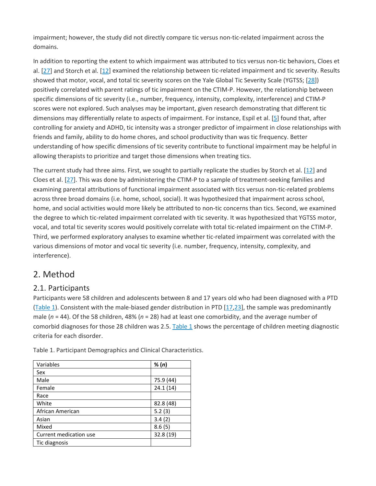impairment; however, the study did not directly compare tic versus non-tic-related impairment across the domains.

In addition to reporting the extent to which impairment was attributed to tics versus non-tic behaviors, Cloes et al. [\[27\]](https://www.sciencedirect.com/science/article/pii/S0010440X1830141X?via%3Dihub#bb0135) and Storch et al. [\[12\]](https://www.sciencedirect.com/science/article/pii/S0010440X1830141X?via%3Dihub#bb0060) examined the relationship between tic-related impairment and tic severity. Results showed that motor, vocal, and total tic severity scores on the Yale Global Tic Severity Scale (YGTSS; [\[28\]](https://www.sciencedirect.com/science/article/pii/S0010440X1830141X?via%3Dihub#bb0140)) positively correlated with parent ratings of tic impairment on the CTIM-P. However, the relationship between specific dimensions of tic severity (i.e., number, frequency, intensity, complexity, interference) and CTIM-P scores were not explored. Such analyses may be important, given research demonstrating that different tic dimensions may differentially relate to aspects of impairment. For instance, Espil et al. [\[5\]](https://www.sciencedirect.com/science/article/pii/S0010440X1830141X?via%3Dihub#bb0025) found that, after controlling for anxiety and ADHD, tic intensity was a stronger predictor of impairment in close relationships with friends and family, ability to do home chores, and school productivity than was tic frequency. Better understanding of how specific dimensions of tic severity contribute to functional impairment may be helpful in allowing therapists to prioritize and target those dimensions when treating tics.

The current study had three aims. First, we sought to partially replicate the studies by Storch et al. [\[12\]](https://www.sciencedirect.com/science/article/pii/S0010440X1830141X?via%3Dihub#bb0060) and Cloes et al. [\[27\]](https://www.sciencedirect.com/science/article/pii/S0010440X1830141X?via%3Dihub#bb0135). This was done by administering the CTIM-P to a sample of treatment-seeking families and examining parental attributions of functional impairment associated with tics versus non-tic-related problems across three broad domains (i.e. home, school, social). It was hypothesized that impairment across school, home, and social activities would more likely be attributed to non-tic concerns than tics. Second, we examined the degree to which tic-related impairment correlated with tic severity. It was hypothesized that YGTSS motor, vocal, and total tic severity scores would positively correlate with total tic-related impairment on the CTIM-P. Third, we performed exploratory analyses to examine whether tic-related impairment was correlated with the various dimensions of motor and vocal tic severity (i.e. number, frequency, intensity, complexity, and interference).

# 2. Method

### 2.1. Participants

Participants were 58 children and adolescents between 8 and 17 years old who had been diagnosed with a PTD [\(Table 1\)](https://www.sciencedirect.com/science/article/pii/S0010440X1830141X?via%3Dihub#t0005). Consistent with the male-biased gender distribution in PTD [\[17](https://www.sciencedirect.com/science/article/pii/S0010440X1830141X?via%3Dihub#bb0085)[,23\]](https://www.sciencedirect.com/science/article/pii/S0010440X1830141X?via%3Dihub#bb0115), the sample was predominantly male (*n* = 44). Of the 58 children, 48% (*n* = 28) had at least one comorbidity, and the average number of comorbid diagnoses for those 28 children was 2.5. [Table 1](https://www.sciencedirect.com/science/article/pii/S0010440X1830141X?via%3Dihub#t0005) shows the percentage of children meeting diagnostic criteria for each disorder.

| Variables              | % (n)     |
|------------------------|-----------|
| Sex                    |           |
| Male                   | 75.9 (44) |
| Female                 | 24.1(14)  |
| Race                   |           |
| White                  | 82.8 (48) |
| African American       | 5.2(3)    |
| Asian                  | 3.4(2)    |
| Mixed                  | 8.6(5)    |
| Current medication use | 32.8 (19) |
| Tic diagnosis          |           |

Table 1. Participant Demographics and Clinical Characteristics.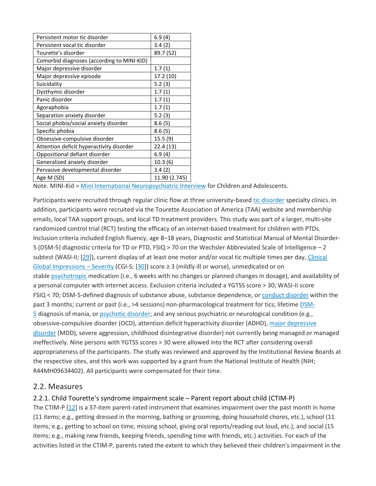| 6.9(4)        |
|---------------|
| 3.4(2)        |
| 89.7 (52)     |
|               |
| 1.7(1)        |
| 17.2 (10)     |
| 5.2(3)        |
| 1.7(1)        |
| 1.7(1)        |
| 1.7(1)        |
| 5.2(3)        |
| 8.6(5)        |
| 8.6(5)        |
| 15.5 (9)      |
| 22.4 (13)     |
| 6.9(4)        |
| 10.3(6)       |
| 3.4(2)        |
| 11.90 (2.745) |
|               |

Note. MINI-Kid = [Mini International Neuropsychiatric Interview](https://www.sciencedirect.com/topics/neuroscience/mini-international-neuropsychiatric-interview) for Children and Adolescents.

Participants were recruited through regular clinic flow at three university-based [tic disorder](https://www.sciencedirect.com/topics/medicine-and-dentistry/tic-disorder) specialty clinics. In addition, participants were recruited via the Tourette Association of America (TAA) website and membership emails, local TAA support groups, and local TD treatment providers. This study was part of a larger, multi-site randomized control trial (RCT) testing the efficacy of an internet-based treatment for children with PTDs. Inclusion criteria included English fluency, age 8–18 years, Diagnostic and Statistical Manual of Mental Disorder-5 (DSM-5) diagnostic criteria for TD or PTD, FSIQ > 70 on the Wechsler Abbreviated Scale of Intelligence – 2 subtest (WASI-II; [\[29\]](https://www.sciencedirect.com/science/article/pii/S0010440X1830141X?via%3Dihub#bb0145)), current display of at least one motor and/or vocal tic multiple times per day, [Clinical](https://www.sciencedirect.com/topics/medicine-and-dentistry/clinical-global-impression)  [Global Impressions –](https://www.sciencedirect.com/topics/medicine-and-dentistry/clinical-global-impression) Severity (CGI-S; [\[30](https://www.sciencedirect.com/science/article/pii/S0010440X1830141X?via%3Dihub#bb0150)]) score ≥ 3 (mildly ill or worse), unmedicated or on stable [psychotropic](https://www.sciencedirect.com/topics/medicine-and-dentistry/psychoactive-drug) medication (i.e., 6 weeks with no changes or planned changes in dosage), and availability of a personal computer with internet access. Exclusion criteria included a YGTSS score > 30; WASI-II score FSIQ < 70; DSM-5-defined diagnosis of substance abuse, substance dependence, or [conduct disorder](https://www.sciencedirect.com/topics/medicine-and-dentistry/conduct-disorder) within the past 3 months; current or past (i.e., >4 sessions) non-pharmacological treatment for tics; lifetime [DSM-](https://www.sciencedirect.com/topics/medicine-and-dentistry/dsm-5)[5](https://www.sciencedirect.com/topics/medicine-and-dentistry/dsm-5) diagnosis of mania, or [psychotic disorder;](https://www.sciencedirect.com/topics/psychology/psychotic-disorder) and any serious psychiatric or neurological condition (e.g., obsessive-compulsive disorder (OCD), attention deficit hyperactivity disorder (ADHD), [major depressive](https://www.sciencedirect.com/topics/medicine-and-dentistry/major-depressive-episode)  [disorder](https://www.sciencedirect.com/topics/medicine-and-dentistry/major-depressive-episode) (MDD), severe aggression, childhood disintegrative disorder) not currently being managed or managed ineffectively. Nine persons with YGTSS scores > 30 were allowed into the RCT after considering overall appropriateness of the participants. The study was reviewed and approved by the Institutional Review Boards at the respective sites, and this work was supported by a grant from the National Institute of Health (NIH; R44MH09634402). All participants were compensated for their time.

### 2.2. Measures

### 2.2.1. Child Tourette's syndrome impairment scale – Parent report about child (CTIM-P)

The CTIM-P [\[12\]](https://www.sciencedirect.com/science/article/pii/S0010440X1830141X?via%3Dihub#bb0060) is a 37-item parent-rated instrument that examines impairment over the past month in home (11 items; e.g., getting dressed in the morning, bathing or grooming, doing household chores, etc.), school (11 items; e.g., getting to school on time, missing school, giving oral reports/reading out loud, etc.), and social (15 items; e.g., making new friends, keeping friends, spending time with friends, etc.) activities. For each of the activities listed in the CTIM-P, parents rated the extent to which they believed their children's impairment in the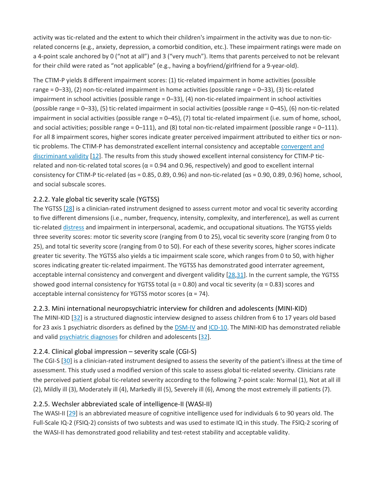activity was tic-related and the extent to which their children's impairment in the activity was due to non-ticrelated concerns (e.g., anxiety, depression, a comorbid condition, etc.). These impairment ratings were made on a 4-point scale anchored by 0 ("not at all") and 3 ("very much"). Items that parents perceived to not be relevant for their child were rated as "not applicable" (e.g., having a boyfriend/girlfriend for a 9-year-old).

The CTIM-P yields 8 different impairment scores: (1) tic-related impairment in home activities (possible range = 0–33), (2) non-tic-related impairment in home activities (possible range = 0–33), (3) tic-related impairment in school activities (possible range = 0–33), (4) non-tic-related impairment in school activities (possible range = 0–33), (5) tic-related impairment in social activities (possible range = 0–45), (6) non-tic-related impairment in social activities (possible range = 0–45), (7) total tic-related impairment (i.e. sum of home, school, and social activities; possible range =  $0-111$ ), and (8) total non-tic-related impairment (possible range =  $0-111$ ). For all 8 impairment scores, higher scores indicate greater perceived impairment attributed to either tics or nontic problems. The CTIM-P has demonstrated excellent internal consistency and acceptable [convergent and](https://www.sciencedirect.com/topics/psychology/convergent-validity)  [discriminant validity](https://www.sciencedirect.com/topics/psychology/convergent-validity) [\[12\]](https://www.sciencedirect.com/science/article/pii/S0010440X1830141X?via%3Dihub#bb0060). The results from this study showed excellent internal consistency for CTIM-P ticrelated and non-tic-related total scores ( $α = 0.94$  and 0.96, respectively) and good to excellent internal consistency for CTIM-P tic-related (αs = 0.85, 0.89, 0.96) and non-tic-related (αs = 0.90, 0.89, 0.96) home, school, and social subscale scores.

### 2.2.2. Yale global tic severity scale (YGTSS)

The YGTSS [\[28\]](https://www.sciencedirect.com/science/article/pii/S0010440X1830141X?via%3Dihub#bb0140) is a clinician-rated instrument designed to assess current motor and vocal tic severity according to five different dimensions (i.e., number, frequency, intensity, complexity, and interference), as well as current tic-related [distress](https://www.sciencedirect.com/topics/neuroscience/distress-syndrome) and impairment in interpersonal, academic, and occupational situations. The YGTSS yields three severity scores: motor tic severity score (ranging from 0 to 25), vocal tic severity score (ranging from 0 to 25), and total tic severity score (ranging from 0 to 50). For each of these severity scores, higher scores indicate greater tic severity. The YGTSS also yields a tic impairment scale score, which ranges from 0 to 50, with higher scores indicating greater tic-related impairment. The YGTSS has demonstrated good interrater agreement, acceptable internal consistency and convergent and divergent validity [\[28](https://www.sciencedirect.com/science/article/pii/S0010440X1830141X?via%3Dihub#bb0140)[,31\]](https://www.sciencedirect.com/science/article/pii/S0010440X1830141X?via%3Dihub#bb0155). In the current sample, the YGTSS showed good internal consistency for YGTSS total ( $\alpha$  = 0.80) and vocal tic severity ( $\alpha$  = 0.83) scores and acceptable internal consistency for YGTSS motor scores ( $\alpha$  = 74).

### 2.2.3. Mini international neuropsychiatric interview for children and adolescents (MINI-KID)

The MINI-KID [\[32\]](https://www.sciencedirect.com/science/article/pii/S0010440X1830141X?via%3Dihub#bb0160) is a structured diagnostic interview designed to assess children from 6 to 17 years old based for 23 axis 1 psychiatric disorders as defined by the **[DSM-IV](https://www.sciencedirect.com/topics/medicine-and-dentistry/dsm-iv)** and [ICD-10.](https://www.sciencedirect.com/topics/medicine-and-dentistry/icd-10) The MINI-KID has demonstrated reliable and valid [psychiatric diagnoses](https://www.sciencedirect.com/topics/medicine-and-dentistry/psychiatric-diagnosis) for children and adolescents [\[32\]](https://www.sciencedirect.com/science/article/pii/S0010440X1830141X?via%3Dihub#bb0160).

#### 2.2.4. Clinical global impression – severity scale (CGI-S)

The CGI-S [\[30\]](https://www.sciencedirect.com/science/article/pii/S0010440X1830141X?via%3Dihub#bb0150) is a clinician-rated instrument designed to assess the severity of the patient's illness at the time of assessment. This study used a modified version of this scale to assess global tic-related severity. Clinicians rate the perceived patient global tic-related severity according to the following 7-point scale: Normal (1), Not at all ill (2), Mildly ill (3), Moderately ill (4), Markedly ill (5), Severely ill (6), Among the most extremely ill patients (7).

#### 2.2.5. Wechsler abbreviated scale of intelligence-II (WASI-II)

The WASI-II [\[29](https://www.sciencedirect.com/science/article/pii/S0010440X1830141X?via%3Dihub#bb0145)] is an abbreviated measure of cognitive intelligence used for individuals 6 to 90 years old. The Full-Scale IQ-2 (FSIQ-2) consists of two subtests and was used to estimate IQ in this study. The FSIQ-2 scoring of the WASI-II has demonstrated good reliability and test-retest stability and acceptable validity.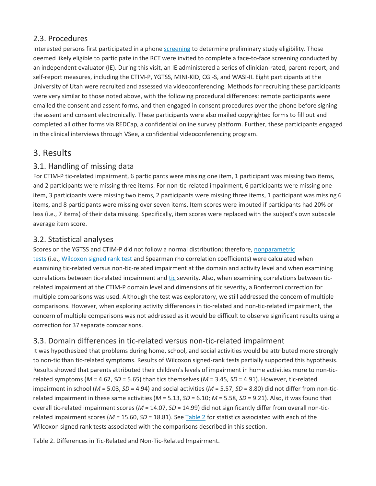### 2.3. Procedures

Interested persons first participated in a phone [screening](https://www.sciencedirect.com/topics/psychology/screening) to determine preliminary study eligibility. Those deemed likely eligible to participate in the RCT were invited to complete a face-to-face screening conducted by an independent evaluator (IE). During this visit, an IE administered a series of clinician-rated, parent-report, and self-report measures, including the CTIM-P, YGTSS, MINI-KID, CGI-S, and WASI-II. Eight participants at the University of Utah were recruited and assessed via videoconferencing. Methods for recruiting these participants were very similar to those noted above, with the following procedural differences: remote participants were emailed the consent and assent forms, and then engaged in consent procedures over the phone before signing the assent and consent electronically. These participants were also mailed copyrighted forms to fill out and completed all other forms via REDCap, a confidential online survey platform. Further, these participants engaged in the clinical interviews through VSee, a confidential videoconferencing program.

# 3. Results

# 3.1. Handling of missing data

For CTIM-P tic-related impairment, 6 participants were missing one item, 1 participant was missing two items, and 2 participants were missing three items. For non-tic-related impairment, 6 participants were missing one item, 3 participants were missing two items, 2 participants were missing three items, 1 participant was missing 6 items, and 8 participants were missing over seven items. Item scores were imputed if participants had 20% or less (i.e., 7 items) of their data missing. Specifically, item scores were replaced with the subject's own subscale average item score.

### 3.2. Statistical analyses

Scores on the YGTSS and CTIM-P did not follow a normal distribution; therefore, [nonparametric](https://www.sciencedirect.com/topics/medicine-and-dentistry/nonparametric-test)  [tests](https://www.sciencedirect.com/topics/medicine-and-dentistry/nonparametric-test) (i.e., [Wilcoxon signed rank test](https://www.sciencedirect.com/topics/medicine-and-dentistry/wilcoxon-signed-ranks-test) and Spearman rho correlation coefficients) were calculated when examining tic-related versus non-tic-related impairment at the domain and activity level and when examining correlations between tic-related impairment and [tic](https://www.sciencedirect.com/topics/medicine-and-dentistry/tic-disorder) severity. Also, when examining correlations between ticrelated impairment at the CTIM-P domain level and dimensions of tic severity, a Bonferroni correction for multiple comparisons was used. Although the test was exploratory, we still addressed the concern of multiple comparisons. However, when exploring activity differences in tic-related and non-tic-related impairment, the concern of multiple comparisons was not addressed as it would be difficult to observe significant results using a correction for 37 separate comparisons.

### 3.3. Domain differences in tic-related versus non-tic-related impairment

It was hypothesized that problems during home, school, and social activities would be attributed more strongly to non-tic than tic-related symptoms. Results of Wilcoxon signed-rank tests partially supported this hypothesis. Results showed that parents attributed their children's levels of impairment in home activities more to non-ticrelated symptoms ( $M = 4.62$ ,  $SD = 5.65$ ) than tics themselves ( $M = 3.45$ ,  $SD = 4.91$ ). However, tic-related impairment in school (*M* = 5.03, *SD* = 4.94) and social activities (*M* = 5.57, *SD* = 8.80) did not differ from non-ticrelated impairment in these same activities (*M* = 5.13, *SD* = 6.10; *M* = 5.58, *SD* = 9.21). Also, it was found that overall tic-related impairment scores (*M* = 14.07, *SD* = 14.99) did not significantly differ from overall non-ticrelated impairment scores (*M* = 15.60, *SD* = 18.81). See [Table 2](https://www.sciencedirect.com/science/article/pii/S0010440X1830141X?via%3Dihub#t0010) for statistics associated with each of the Wilcoxon signed rank tests associated with the comparisons described in this section.

Table 2. Differences in Tic-Related and Non-Tic-Related Impairment.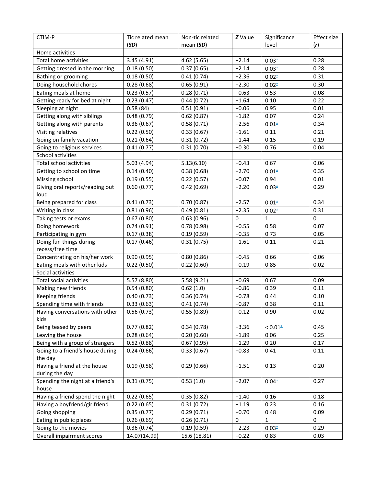| CTIM-P                           | Tic related mean | Non-tic related | Z Value | Significance | Effect size |
|----------------------------------|------------------|-----------------|---------|--------------|-------------|
|                                  | (SD)             | mean (SD)       |         | level        | (r)         |
| Home activities                  |                  |                 |         |              |             |
| Total home activities            | 3.45 (4.91)      | 4.62(5.65)      | $-2.14$ | $0.03*$      | 0.28        |
| Getting dressed in the morning   | 0.18(0.50)       | 0.37(0.65)      | $-2.14$ | $0.03*$      | 0.28        |
| Bathing or grooming              | 0.18(0.50)       | 0.41(0.74)      | $-2.36$ | $0.02*$      | 0.31        |
| Doing household chores           | 0.28(0.68)       | 0.65(0.91)      | $-2.30$ | $0.02*$      | 0.30        |
| Eating meals at home             | 0.23(0.57)       | 0.28(0.71)      | $-0.63$ | 0.53         | 0.08        |
| Getting ready for bed at night   | 0.23(0.47)       | 0.44(0.72)      | $-1.64$ | 0.10         | 0.22        |
| Sleeping at night                | 0.58(84)         | 0.51(0.91)      | $-0.06$ | 0.95         | 0.01        |
| Getting along with siblings      | 0.48(0.79)       | 0.62(0.87)      | $-1.82$ | 0.07         | 0.24        |
| Getting along with parents       | 0.36(0.67)       | 0.58(0.71)      | $-2.56$ | $0.01*$      | 0.34        |
| Visiting relatives               | 0.22(0.50)       | 0.33(0.67)      | $-1.61$ | 0.11         | 0.21        |
| Going on family vacation         | 0.21(0.64)       | 0.31(0.72)      | $-1.44$ | 0.15         | 0.19        |
| Going to religious services      | 0.41(0.77)       | 0.31(0.70)      | $-0.30$ | 0.76         | 0.04        |
| School activities                |                  |                 |         |              |             |
| <b>Total school activities</b>   | 5.03 (4.94)      | 5.13(6.10)      | $-0.43$ | 0.67         | 0.06        |
| Getting to school on time        | 0.14(0.40)       | 0.38(0.68)      | $-2.70$ | $0.01*$      | 0.35        |
| Missing school                   | 0.19(0.55)       | 0.22(0.57)      | $-0.07$ | 0.94         | 0.01        |
| Giving oral reports/reading out  | 0.60(0.77)       | 0.42(0.69)      | $-2.20$ | $0.03*$      | 0.29        |
| loud                             |                  |                 |         |              |             |
| Being prepared for class         | 0.41(0.73)       | 0.70(0.87)      | $-2.57$ | $0.01*$      | 0.34        |
| Writing in class                 | 0.81(0.96)       | 0.49(0.81)      | $-2.35$ | $0.02*$      | 0.31        |
| Taking tests or exams            | 0.67(0.80)       | 0.63(0.96)      | 0       | $\mathbf 1$  | $\mathbf 0$ |
| Doing homework                   | 0.74(0.91)       | 0.78(0.98)      | $-0.55$ | 0.58         | 0.07        |
| Participating in gym             | 0.17(0.38)       | 0.19(0.59)      | $-0.35$ | 0.73         | 0.05        |
| Doing fun things during          | 0.17(0.46)       | 0.31(0.75)      | $-1.61$ | 0.11         | 0.21        |
| recess/free time                 |                  |                 |         |              |             |
| Concentrating on his/her work    | 0.90(0.95)       | 0.80(0.86)      | $-0.45$ | 0.66         | 0.06        |
| Eating meals with other kids     | 0.22(0.50)       | 0.22(0.60)      | $-0.19$ | 0.85         | 0.02        |
| Social activities                |                  |                 |         |              |             |
| <b>Total social activities</b>   | 5.57 (8.80)      | 5.58(9.21)      | $-0.69$ | 0.67         | 0.09        |
| Making new friends               | 0.54(0.80)       | 0.62(1.0)       | $-0.86$ | 0.39         | 0.11        |
| Keeping friends                  | 0.40(0.73)       | 0.36(0.74)      | $-0.78$ | 0.44         | 0.10        |
| Spending time with friends       | 0.33(0.63)       | 0.41(0.74)      | $-0.87$ | 0.38         | 0.11        |
| Having conversations with other  | 0.56(0.73)       | 0.55(0.89)      | $-0.12$ | 0.90         | 0.02        |
| kids                             |                  |                 |         |              |             |
| Being teased by peers            | 0.77(0.82)       | 0.34(0.78)      | $-3.36$ | $< 0.01*$    | 0.45        |
| Leaving the house                | 0.28(0.64)       | 0.20(0.60)      | $-1.89$ | 0.06         | 0.25        |
| Being with a group of strangers  | 0.52(0.88)       | 0.67(0.95)      | $-1.29$ | 0.20         | 0.17        |
| Going to a friend's house during | 0.24(0.66)       | 0.33(0.67)      | $-0.83$ | 0.41         | 0.11        |
| the day                          |                  |                 |         |              |             |
| Having a friend at the house     | 0.19(0.58)       | 0.29(0.66)      | $-1.51$ | 0.13         | 0.20        |
| during the day                   |                  |                 |         |              |             |
| Spending the night at a friend's | 0.31(0.75)       | 0.53(1.0)       | $-2.07$ | $0.04*$      | 0.27        |
| house                            |                  |                 |         |              |             |
| Having a friend spend the night  | 0.22(0.65)       | 0.35(0.82)      | $-1.40$ | 0.16         | 0.18        |
| Having a boyfriend/girlfriend    | 0.22(0.65)       | 0.31(0.72)      | $-1.19$ | 0.23         | 0.16        |
| Going shopping                   | 0.35(0.77)       | 0.29(0.71)      | $-0.70$ | 0.48         | 0.09        |
| Eating in public places          | 0.26(0.69)       | 0.26(0.71)      | 0       | 1            | 0           |
| Going to the movies              | 0.36(0.74)       | 0.19(0.59)      | $-2.23$ | $0.03*$      | 0.29        |
| Overall impairment scores        | 14.07(14.99)     | 15.6 (18.81)    | $-0.22$ | 0.83         | 0.03        |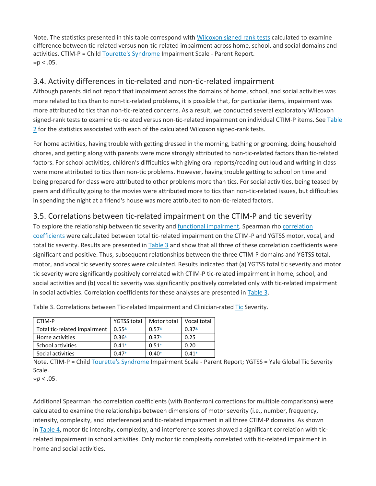Note. The statistics presented in this table correspond with [Wilcoxon signed rank tests](https://www.sciencedirect.com/topics/medicine-and-dentistry/wilcoxon-signed-ranks-test) calculated to examine difference between tic-related versus non-tic-related impairment across home, school, and social domains and activities. CTIM-P = Child [Tourette's Syndrome](https://www.sciencedirect.com/topics/medicine-and-dentistry/gilles-de-la-tourette-syndrome) Impairment Scale - Parent Report.  $*D < .05$ .

### 3.4. Activity differences in tic-related and non-tic-related impairment

Although parents did not report that impairment across the domains of home, school, and social activities was more related to tics than to non-tic-related problems, it is possible that, for particular items, impairment was more attributed to tics than non-tic-related concerns. As a result, we conducted several exploratory Wilcoxon signed-rank tests to examine tic-related versus non-tic-related impairment on individual CTIM-P items. See Table [2](https://www.sciencedirect.com/science/article/pii/S0010440X1830141X?via%3Dihub#t0010) for the statistics associated with each of the calculated Wilcoxon signed-rank tests.

For home activities, having trouble with getting dressed in the morning, bathing or grooming, doing household chores, and getting along with parents were more strongly attributed to non-tic-related factors than tic-related factors. For school activities, children's difficulties with giving oral reports/reading out loud and writing in class were more attributed to tics than non-tic problems. However, having trouble getting to school on time and being prepared for class were attributed to other problems more than tics. For social activities, being teased by peers and difficulty going to the movies were attributed more to tics than non-tic-related issues, but difficulties in spending the night at a friend's house was more attributed to non-tic-related factors.

### 3.5. Correlations between tic-related impairment on the CTIM-P and tic severity

To explore the relationship between tic severity and [functional impairment,](https://www.sciencedirect.com/topics/medicine-and-dentistry/functional-disease) Spearman rho [correlation](https://www.sciencedirect.com/topics/psychology/correlation-coefficient)  [coefficients](https://www.sciencedirect.com/topics/psychology/correlation-coefficient) were calculated between total tic-related impairment on the CTIM-P and YGTSS motor, vocal, and total tic severity. Results are presented in [Table 3](https://www.sciencedirect.com/science/article/pii/S0010440X1830141X?via%3Dihub#t0015) and show that all three of these correlation coefficients were significant and positive. Thus, subsequent relationships between the three CTIM-P domains and YGTSS total, motor, and vocal tic severity scores were calculated. Results indicated that (a) YGTSS total tic severity and motor tic severity were significantly positively correlated with CTIM-P tic-related impairment in home, school, and social activities and (b) vocal tic severity was significantly positively correlated only with tic-related impairment in social activities. Correlation coefficients for these analyses are presented in [Table 3.](https://www.sciencedirect.com/science/article/pii/S0010440X1830141X?via%3Dihub#t0015)

| CTIM-P                       | <b>YGTSS total</b> | Motor total | Vocal total |
|------------------------------|--------------------|-------------|-------------|
| Total tic-related impairment | $0.55*$            | $0.57*$     | $0.37*$     |
| Home activities              | $0.36*$            | $0.37*$     | 0.25        |
| School activities            | $0.41*$            | $0.51*$     | 0.20        |
| Social activities            | $0.47*$            | $0.40*$     | $0.41*$     |

Table 3. Correlations between [Tic](https://www.sciencedirect.com/topics/medicine-and-dentistry/tic-disorder)-related Impairment and Clinician-rated Tic Severity.

Note. CTIM-P = Child [Tourette's Syndrome](https://www.sciencedirect.com/topics/medicine-and-dentistry/gilles-de-la-tourette-syndrome) Impairment Scale - Parent Report; YGTSS = Yale Global Tic Severity Scale.

#### $*D < .05$ .

Additional Spearman rho correlation coefficients (with Bonferroni corrections for multiple comparisons) were calculated to examine the relationships between dimensions of motor severity (i.e., number, frequency, intensity, complexity, and interference) and tic-related impairment in all three CTIM-P domains. As shown in [Table 4,](https://www.sciencedirect.com/science/article/pii/S0010440X1830141X?via%3Dihub#t0020) motor tic intensity, complexity, and interference scores showed a significant correlation with ticrelated impairment in school activities. Only motor tic complexity correlated with tic-related impairment in home and social activities.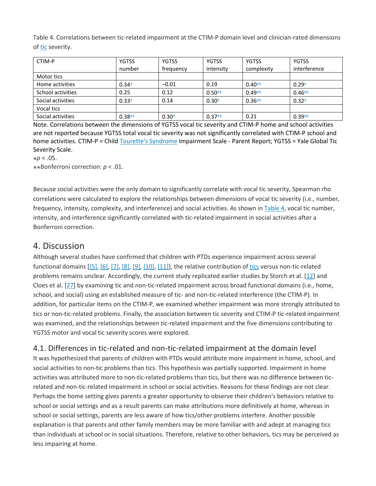Table 4. Correlations between tic-related impairment at the CTIM-P domain level and clinician-rated dimensions of [tic](https://www.sciencedirect.com/topics/medicine-and-dentistry/tic-disorder) severity.

| CTIM-P            | <b>YGTSS</b> | <b>YGTSS</b> | <b>YGTSS</b> | <b>YGTSS</b> | <b>YGTSS</b> |
|-------------------|--------------|--------------|--------------|--------------|--------------|
|                   | number       | frequency    | intensity    | complexity   | interference |
| Motor tics        |              |              |              |              |              |
| Home activities   | $0.34*$      | $-0.01$      | 0.19         | $0.40**$     | $0.29*$      |
| School activities | 0.25         | 0.12         | $0.50***$    | $0.49**$     | $0.46***$    |
| Social activities | $0.33*$      | 0.14         | $0.30*$      | $0.36***$    | $0.32*$      |
| Vocal tics        |              |              |              |              |              |
| Social activities | $0.38***$    | $0.30*$      | $0.37***$    | 0.21         | $0.39***$    |

Note. Correlations between the dimensions of YGTSS vocal tic severity and CTIM-P home and school activities are not reported because YGTSS total vocal tic severity was not significantly correlated with CTIM-P school and home activities. CTIM-P = Child [Tourette's Syndrome](https://www.sciencedirect.com/topics/medicine-and-dentistry/gilles-de-la-tourette-syndrome) Impairment Scale - Parent Report; YGTSS = Yale Global Tic Severity Scale.

 $*p < .05.$ 

⁎⁎Bonferroni correction: *p* < .01.

Because social activities were the only domain to significantly correlate with vocal tic severity, Spearman rho correlations were calculated to explore the relationships between dimensions of vocal tic severity (i.e., number, frequency, intensity, complexity, and interference) and social activities. As shown in [Table 4,](https://www.sciencedirect.com/science/article/pii/S0010440X1830141X?via%3Dihub#t0020) vocal tic number, intensity, and interference significantly correlated with tic-related impairment in social activities after a Bonferroni correction.

# 4. Discussion

Although several studies have confirmed that children with PTDs experience impairment across several functional domains  $[[5], [6], [7], [8], [9], [10], [11]]$  $[[5], [6], [7], [8], [9], [10], [11]]$  $[[5], [6], [7], [8], [9], [10], [11]]$  $[[5], [6], [7], [8], [9], [10], [11]]$  $[[5], [6], [7], [8], [9], [10], [11]]$  $[[5], [6], [7], [8], [9], [10], [11]]$  $[[5], [6], [7], [8], [9], [10], [11]]$  $[[5], [6], [7], [8], [9], [10], [11]]$  $[[5], [6], [7], [8], [9], [10], [11]]$  $[[5], [6], [7], [8], [9], [10], [11]]$  $[[5], [6], [7], [8], [9], [10], [11]]$  $[[5], [6], [7], [8], [9], [10], [11]]$  $[[5], [6], [7], [8], [9], [10], [11]]$ , the relative contribution of [tics](https://www.sciencedirect.com/topics/medicine-and-dentistry/tic-disorder) versus non-tic-related problems remains unclear. Accordingly, the current study replicated earlier studies by Storch et al. [\[12\]](https://www.sciencedirect.com/science/article/pii/S0010440X1830141X?via%3Dihub#bb0060) and Cloes et al. [\[27\]](https://www.sciencedirect.com/science/article/pii/S0010440X1830141X?via%3Dihub#bb0135) by examining tic and non-tic-related impairment across broad functional domains (i.e., home, school, and social) using an established measure of tic- and non-tic-related interference (the CTIM-P). In addition, for particular items on the CTIM-P, we examined whether impairment was more strongly attributed to tics or non-tic-related problems. Finally, the association between tic severity and CTIM-P tic-related impairment was examined, and the relationships between tic-related impairment and the five dimensions contributing to YGTSS motor and vocal tic severity scores were explored.

### 4.1. Differences in tic-related and non-tic-related impairment at the domain level

It was hypothesized that parents of children with PTDs would attribute more impairment in home, school, and social activities to non-tic problems than tics. This hypothesis was partially supported. Impairment in home activities was attributed more to non-tic-related problems than tics, but there was no difference between ticrelated and non-tic-related impairment in school or social activities. Reasons for these findings are not clear. Perhaps the home setting gives parents a greater opportunity to observe their children's behaviors relative to school or social settings and as a result parents can make attributions more definitively at home, whereas in school or social settings, parents are less aware of how tics/other problems interfere. Another possible explanation is that parents and other family members may be more familiar with and adept at managing tics than individuals at school or in social situations. Therefore, relative to other behaviors, tics may be perceived as less impairing at home.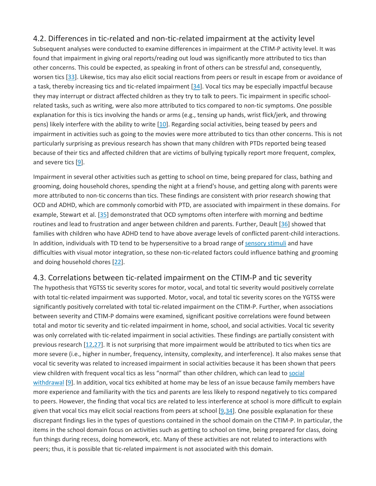### 4.2. Differences in tic-related and non-tic-related impairment at the activity level

Subsequent analyses were conducted to examine differences in impairment at the CTIM-P activity level. It was found that impairment in giving oral reports/reading out loud was significantly more attributed to tics than other concerns. This could be expected, as speaking in front of others can be stressful and, consequently, worsen tics [\[33\]](https://www.sciencedirect.com/science/article/pii/S0010440X1830141X?via%3Dihub#bb0165). Likewise, tics may also elicit social reactions from peers or result in escape from or avoidance of a task, thereby increasing tics and tic-related impairment [\[34\]](https://www.sciencedirect.com/science/article/pii/S0010440X1830141X?via%3Dihub#bb0170). Vocal tics may be especially impactful because they may interrupt or distract affected children as they try to talk to peers. Tic impairment in specific schoolrelated tasks, such as writing, were also more attributed to tics compared to non-tic symptoms. One possible explanation for this is tics involving the hands or arms (e.g., tensing up hands, wrist flick/jerk, and throwing pens) likely interfere with the ability to write [\[10\]](https://www.sciencedirect.com/science/article/pii/S0010440X1830141X?via%3Dihub#bb0050). Regarding social activities, being teased by peers and impairment in activities such as going to the movies were more attributed to tics than other concerns. This is not particularly surprising as previous research has shown that many children with PTDs reported being teased because of their tics and affected children that are victims of bullying typically report more frequent, complex, and severe tics [\[9\]](https://www.sciencedirect.com/science/article/pii/S0010440X1830141X?via%3Dihub#bb0045).

Impairment in several other activities such as getting to school on time, being prepared for class, bathing and grooming, doing household chores, spending the night at a friend's house, and getting along with parents were more attributed to non-tic concerns than tics. These findings are consistent with prior research showing that OCD and ADHD, which are commonly comorbid with PTD, are associated with impairment in these domains. For example, Stewart et al. [\[35\]](https://www.sciencedirect.com/science/article/pii/S0010440X1830141X?via%3Dihub#bb0175) demonstrated that OCD symptoms often interfere with morning and bedtime routines and lead to frustration and anger between children and parents. Further, Deault [\[36\]](https://www.sciencedirect.com/science/article/pii/S0010440X1830141X?via%3Dihub#bb0180) showed that families with children who have ADHD tend to have above average levels of conflicted parent-child interactions. In addition, individuals with TD tend to be hypersensitive to a broad range of [sensory stimuli](https://www.sciencedirect.com/topics/medicine-and-dentistry/sensory-stimulation) and have difficulties with visual motor integration, so these non-tic-related factors could influence bathing and grooming and doing household chores [\[22\]](https://www.sciencedirect.com/science/article/pii/S0010440X1830141X?via%3Dihub#bb0110).

### 4.3. Correlations between tic-related impairment on the CTIM-P and tic severity

The hypothesis that YGTSS tic severity scores for motor, vocal, and total tic severity would positively correlate with total tic-related impairment was supported. Motor, vocal, and total tic severity scores on the YGTSS were significantly positively correlated with total tic-related impairment on the CTIM-P. Further, when associations between severity and CTIM-P domains were examined, significant positive correlations were found between total and motor tic severity and tic-related impairment in home, school, and social activities. Vocal tic severity was only correlated with tic-related impairment in social activities. These findings are partially consistent with previous research [\[12](https://www.sciencedirect.com/science/article/pii/S0010440X1830141X?via%3Dihub#bb0060)[,27\]](https://www.sciencedirect.com/science/article/pii/S0010440X1830141X?via%3Dihub#bb0135). It is not surprising that more impairment would be attributed to tics when tics are more severe (i.e., higher in number, frequency, intensity, complexity, and interference). It also makes sense that vocal tic severity was related to increased impairment in social activities because it has been shown that peers view children with frequent vocal tics as less "normal" than other children, which can lead to [social](https://www.sciencedirect.com/topics/medicine-and-dentistry/psychosocial-withdrawal)  [withdrawal](https://www.sciencedirect.com/topics/medicine-and-dentistry/psychosocial-withdrawal) [\[9\]](https://www.sciencedirect.com/science/article/pii/S0010440X1830141X?via%3Dihub#bb0045). In addition, vocal tics exhibited at home may be less of an issue because family members have more experience and familiarity with the tics and parents are less likely to respond negatively to tics compared to peers. However, the finding that vocal tics are related to less interference at school is more difficult to explain given that vocal tics may elicit social reactions from peers at school [\[9](https://www.sciencedirect.com/science/article/pii/S0010440X1830141X?via%3Dihub#bb0045)[,34\]](https://www.sciencedirect.com/science/article/pii/S0010440X1830141X?via%3Dihub#bb0170). One possible explanation for these discrepant findings lies in the types of questions contained in the school domain on the CTIM-P. In particular, the items in the school domain focus on activities such as getting to school on time, being prepared for class, doing fun things during recess, doing homework, etc. Many of these activities are not related to interactions with peers; thus, it is possible that tic-related impairment is not associated with this domain.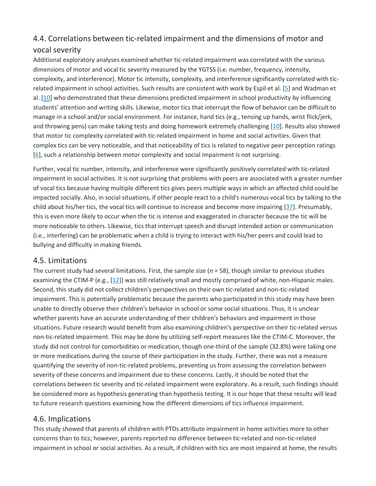# 4.4. Correlations between tic-related impairment and the dimensions of motor and vocal severity

Additional exploratory analyses examined whether tic-related impairment was correlated with the various dimensions of motor and vocal tic severity measured by the YGTSS (i.e. number, frequency, intensity, complexity, and interference). Motor tic intensity, complexity, and interference significantly correlated with ticrelated impairment in school activities. Such results are consistent with work by Espil et al. [\[5\]](https://www.sciencedirect.com/science/article/pii/S0010440X1830141X?via%3Dihub#bb0025) and Wadman et al. [\[10\]](https://www.sciencedirect.com/science/article/pii/S0010440X1830141X?via%3Dihub#bb0050) who demonstrated that these dimensions predicted impairment in school productivity by influencing students' attention and writing skills. Likewise, motor tics that interrupt the flow of behavior can be difficult to manage in a school and/or social environment. For instance, hand tics (e.g., tensing up hands, wrist flick/jerk, and throwing pens) can make taking tests and doing homework extremely challenging [\[10\]](https://www.sciencedirect.com/science/article/pii/S0010440X1830141X?via%3Dihub#bb0050). Results also showed that motor tic complexity correlated with tic-related impairment in home and social activities. Given that complex tics can be very noticeable, and that noticeability of tics is related to negative peer perception ratings [\[6\]](https://www.sciencedirect.com/science/article/pii/S0010440X1830141X?via%3Dihub#bb0030), such a relationship between motor complexity and social impairment is not surprising.

Further, vocal tic number, intensity, and interference were significantly positively correlated with tic-related impairment in social activities. It is not surprising that problems with peers are associated with a greater number of vocal tics because having multiple different tics gives peers multiple ways in which an affected child could be impacted socially. Also, in social situations, if other people react to a child's numerous vocal tics by talking to the child about his/her tics, the vocal tics will continue to increase and become more impairing [\[37\]](https://www.sciencedirect.com/science/article/pii/S0010440X1830141X?via%3Dihub#bb0185). Presumably, this is even more likely to occur when the tic is intense and exaggerated in character because the tic will be more noticeable to others. Likewise, tics that interrupt speech and disrupt intended action or communication (i.e., interfering) can be problematic when a child is trying to interact with his/her peers and could lead to bullying and difficulty in making friends.

### 4.5. Limitations

The current study had several limitations. First, the sample size (*n* = 58), though similar to previous studies examining the CTIM-P (e.g., [\[12\]](https://www.sciencedirect.com/science/article/pii/S0010440X1830141X?via%3Dihub#bb0060)) was still relatively small and mostly comprised of white, non-Hispanic males. Second, this study did not collect children's perspectives on their own tic-related and non-tic-related impairment. This is potentially problematic because the parents who participated in this study may have been unable to directly observe their children's behavior in school or some social situations. Thus, it is unclear whether parents have an accurate understanding of their children's behaviors and impairment in those situations. Future research would benefit from also examining children's perspective on their tic-related versus non-tic-related impairment. This may be done by utilizing self-report measures like the CTIM-C. Moreover, the study did not control for comorbidities or medication, though one-third of the sample (32.8%) were taking one or more medications during the course of their participation in the study. Further, there was not a measure quantifying the severity of non-tic-related problems, preventing us from assessing the correlation between severity of these concerns and impairment due to these concerns. Lastly, it should be noted that the correlations between tic severity and tic-related impairment were exploratory. As a result, such findings should be considered more as hypothesis generating than hypothesis testing. It is our hope that these results will lead to future research questions examining how the different dimensions of tics influence impairment.

### 4.6. Implications

This study showed that parents of children with PTDs attribute impairment in home activities more to other concerns than to tics; however, parents reported no difference between tic-related and non-tic-related impairment in school or social activities. As a result, if children with tics are most impaired at home, the results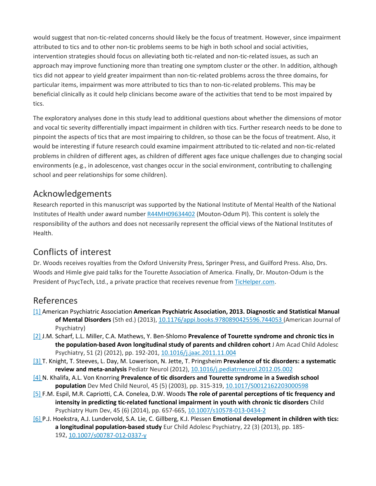would suggest that non-tic-related concerns should likely be the focus of treatment. However, since impairment attributed to tics and to other non-tic problems seems to be high in both school and social activities, intervention strategies should focus on alleviating both tic-related and non-tic-related issues, as such an approach may improve functioning more than treating one symptom cluster or the other. In addition, although tics did not appear to yield greater impairment than non-tic-related problems across the three domains, for particular items, impairment was more attributed to tics than to non-tic-related problems. This may be beneficial clinically as it could help clinicians become aware of the activities that tend to be most impaired by tics.

The exploratory analyses done in this study lead to additional questions about whether the dimensions of motor and vocal tic severity differentially impact impairment in children with tics. Further research needs to be done to pinpoint the aspects of tics that are most impairing to children, so those can be the focus of treatment. Also, it would be interesting if future research could examine impairment attributed to tic-related and non-tic-related problems in children of different ages, as children of different ages face unique challenges due to changing social environments (e.g., in adolescence, vast changes occur in the social environment, contributing to challenging school and peer relationships for some children).

# Acknowledgements

Research reported in this manuscript was supported by the National Institute of Mental Health of the National Institutes of Health under award number [R44MH09634402](https://www.sciencedirect.com/science/article/pii/S0010440X1830141X?via%3Dihub#gts0005) (Mouton-Odum PI). This content is solely the responsibility of the authors and does not necessarily represent the official views of the National Institutes of Health.

# Conflicts of interest

Dr. Woods receives royalties from the Oxford University Press, Springer Press, and Guilford Press. Also, Drs. Woods and Himle give paid talks for the Tourette Association of America. Finally, Dr. Mouton-Odum is the President of PsycTech, Ltd., a private practice that receives revenue from [TicHelper.com.](http://tichelper.com/)

# References

- [\[1\]](https://www.sciencedirect.com/science/article/pii/S0010440X1830141X?via%3Dihub#bbb0005) American Psychiatric Association **American Psychiatric Association, 2013. Diagnostic and Statistical Manual of Mental Disorders** (5th ed.) (2013), [10.1176/appi.books.9780890425596.744053](https://doi.org/10.1176/appi.books.9780890425596.744053) (American Journal of Psychiatry)
- [\[2\]](https://www.sciencedirect.com/science/article/pii/S0010440X1830141X?via%3Dihub#bbb0010) J.M. Scharf, L.L. Miller, C.A. Mathews, Y. Ben-Shlomo **Prevalence of Tourette syndrome and chronic tics in the population-based Avon longitudinal study of parents and children cohort** J Am Acad Child Adolesc Psychiatry, 51 (2) (2012), pp. 192-201, [10.1016/j.jaac.2011.11.004](https://doi.org/10.1016/j.jaac.2011.11.004)
- [\[3\]](https://www.sciencedirect.com/science/article/pii/S0010440X1830141X?via%3Dihub#bbb0015) T. Knight, T. Steeves, L. Day, M. Lowerison, N. Jette, T. Pringsheim **Prevalence of tic disorders: a systematic review and meta-analysis** Pediatr Neurol (2012), [10.1016/j.pediatrneurol.2012.05.002](https://doi.org/10.1016/j.pediatrneurol.2012.05.002)
- [\[4\]](https://www.sciencedirect.com/science/article/pii/S0010440X1830141X?via%3Dihub#bbb0020) N. Khalifa, A.L. Von Knorring **Prevalence of tic disorders and Tourette syndrome in a Swedish school population** Dev Med Child Neurol, 45 (5) (2003), pp. 315-319, [10.1017/S0012162203000598](https://doi.org/10.1017/S0012162203000598)
- [\[5\]](https://www.sciencedirect.com/science/article/pii/S0010440X1830141X?via%3Dihub#bbb0025) F.M. Espil, M.R. Capriotti, C.A. Conelea, D.W. Woods **The role of parental perceptions of tic frequency and intensity in predicting tic-related functional impairment in youth with chronic tic disorders** Child Psychiatry Hum Dev, 45 (6) (2014), pp. 657-665, [10.1007/s10578-013-0434-2](https://doi.org/10.1007/s10578-013-0434-2)
- [\[6\]](https://www.sciencedirect.com/science/article/pii/S0010440X1830141X?via%3Dihub#bbb0030) P.J. Hoekstra, A.J. Lundervold, S.A. Lie, C. Gillberg, K.J. Plessen **Emotional development in children with tics: a longitudinal population-based study** Eur Child Adolesc Psychiatry, 22 (3) (2013), pp. 185- 192, [10.1007/s00787-012-0337-y](https://doi.org/10.1007/s00787-012-0337-y)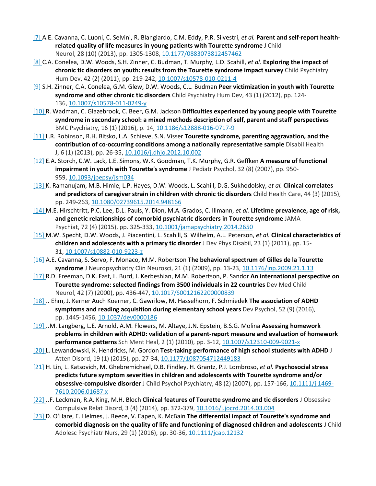- [\[7\]](https://www.sciencedirect.com/science/article/pii/S0010440X1830141X?via%3Dihub#bbb0035) A.E. Cavanna, C. Luoni, C. Selvini, R. Blangiardo, C.M. Eddy, P.R. Silvestri, *et al.* **Parent and self-report healthrelated quality of life measures in young patients with Tourette syndrome** J Child Neurol, 28 (10) (2013), pp. 1305-1308, [10.1177/0883073812457462](https://doi.org/10.1177/0883073812457462)
- [\[8\]](https://www.sciencedirect.com/science/article/pii/S0010440X1830141X?via%3Dihub#bbb0040) C.A. Conelea, D.W. Woods, S.H. Zinner, C. Budman, T. Murphy, L.D. Scahill, *et al.* **Exploring the impact of chronic tic disorders on youth: results from the Tourette syndrome impact survey** Child Psychiatry Hum Dev, 42 (2) (2011), pp. 219-242, [10.1007/s10578-010-0211-4](https://doi.org/10.1007/s10578-010-0211-4)
- [\[9\]](https://www.sciencedirect.com/science/article/pii/S0010440X1830141X?via%3Dihub#bbb0045) S.H. Zinner, C.A. Conelea, G.M. Glew, D.W. Woods, C.L. Budman **Peer victimization in youth with Tourette syndrome and other chronic tic disorders** Child Psychiatry Hum Dev, 43 (1) (2012), pp. 124- 136, [10.1007/s10578-011-0249-y](https://doi.org/10.1007/s10578-011-0249-y)
- [\[10\]](https://www.sciencedirect.com/science/article/pii/S0010440X1830141X?via%3Dihub#bbb0050) R. Wadman, C. Glazebrook, C. Beer, G.M. Jackson **Difficulties experienced by young people with Tourette syndrome in secondary school: a mixed methods description of self, parent and staff perspectives** BMC Psychiatry, 16 (1) (2016), p. 14, [10.1186/s12888-016-0717-9](https://doi.org/10.1186/s12888-016-0717-9)
- [\[11\]](https://www.sciencedirect.com/science/article/pii/S0010440X1830141X?via%3Dihub#bbb0055) L.R. Robinson, R.H. Bitsko, L.A. Schieve, S.N. Visser **Tourette syndrome, parenting aggravation, and the contribution of co-occurring conditions among a nationally representative sample** Disabil Health J, 6 (1) (2013), pp. 26-35, [10.1016/j.dhjo.2012.10.002](https://doi.org/10.1016/j.dhjo.2012.10.002)
- [\[12\]](https://www.sciencedirect.com/science/article/pii/S0010440X1830141X?via%3Dihub#bbb0060) E.A. Storch, C.W. Lack, L.E. Simons, W.K. Goodman, T.K. Murphy, G.R. Geffken **A measure of functional impairment in youth with Tourette's syndrome** J Pediatr Psychol, 32 (8) (2007), pp. 950- 959, [10.1093/jpepsy/jsm034](https://doi.org/10.1093/jpepsy/jsm034)
- [\[13\]](https://www.sciencedirect.com/science/article/pii/S0010440X1830141X?via%3Dihub#bbb0065) K. Ramanujam, M.B. Himle, L.P. Hayes, D.W. Woods, L. Scahill, D.G. Sukhodolsky, *et al.* **Clinical correlates and predictors of caregiver strain in children with chronic tic disorders** Child Health Care, 44 (3) (2015), pp. 249-263, [10.1080/02739615.2014.948166](https://doi.org/10.1080/02739615.2014.948166)
- [\[14\]](https://www.sciencedirect.com/science/article/pii/S0010440X1830141X?via%3Dihub#bbb0070) M.E. Hirschtritt, P.C. Lee, D.L. Pauls, Y. Dion, M.A. Grados, C. Illmann, *et al.* **Lifetime prevalence, age of risk, and genetic relationships of comorbid psychiatric disorders in Tourette syndrome** JAMA Psychiat, 72 (4) (2015), pp. 325-333, [10.1001/jamapsychiatry.2014.2650](https://doi.org/10.1001/jamapsychiatry.2014.2650)
- [\[15\]](https://www.sciencedirect.com/science/article/pii/S0010440X1830141X?via%3Dihub#bbb0075) M.W. Specht, D.W. Woods, J. Piacentini, L. Scahill, S. Wilhelm, A.L. Peterson, *et al.* **Clinical characteristics of children and adolescents with a primary tic disorder** J Dev Phys Disabil, 23 (1) (2011), pp. 15- 31, [10.1007/s10882-010-9223-z](https://doi.org/10.1007/s10882-010-9223-z)
- [\[16\]](https://www.sciencedirect.com/science/article/pii/S0010440X1830141X?via%3Dihub#bbb0080) A.E. Cavanna, S. Servo, F. Monaco, M.M. Robertson **The behavioral spectrum of Gilles de la Tourette syndrome** J Neuropsychiatry Clin Neurosci, 21 (1) (2009), pp. 13-23, [10.1176/jnp.2009.21.1.13](https://doi.org/10.1176/jnp.2009.21.1.13)
- [\[17\]](https://www.sciencedirect.com/science/article/pii/S0010440X1830141X?via%3Dihub#bbb0085) R.D. Freeman, D.K. Fast, L. Burd, J. Kerbeshian, M.M. Robertson, P. Sandor **An international perspective on Tourette syndrome: selected findings from 3500 individuals in 22 countries** Dev Med Child Neurol, 42 (7) (2000), pp. 436-447, [10.1017/S0012162200000839](https://doi.org/10.1017/S0012162200000839)
- [\[18\]](https://www.sciencedirect.com/science/article/pii/S0010440X1830141X?via%3Dihub#bbb0090) J. Ehm, J. Kerner Auch Koerner, C. Gawrilow, M. Hasselhorn, F. Schmiedek **The association of ADHD symptoms and reading acquisition during elementary school years** Dev Psychol, 52 (9) (2016), pp. 1445-1456, [10.1037/dev0000186](https://doi.org/10.1037/dev0000186)
- [\[19\]](https://www.sciencedirect.com/science/article/pii/S0010440X1830141X?via%3Dihub#bbb0095) J.M. Langberg, L.E. Arnold, A.M. Flowers, M. Altaye, J.N. Epstein, B.S.G. Molina **Assessing homework problems in children with ADHD: validation of a parent-report measure and evaluation of homework performance patterns** Sch Ment Heal, 2 (1) (2010), pp. 3-12, [10.1007/s12310-009-9021-x](https://doi.org/10.1007/s12310-009-9021-x)
- [\[20\]](https://www.sciencedirect.com/science/article/pii/S0010440X1830141X?via%3Dihub#bbb0100) L. Lewandowski, K. Hendricks, M. Gordon **Test-taking performance of high school students with ADHD** J Atten Disord, 19 (1) (2015), pp. 27-34, [10.1177/1087054712449183](https://doi.org/10.1177/1087054712449183)
- [\[21\]](https://www.sciencedirect.com/science/article/pii/S0010440X1830141X?via%3Dihub#bbb0105) H. Lin, L. Katsovich, M. Ghebremichael, D.B. Findley, H. Grantz, P.J. Lombroso, *et al.* **Psychosocial stress predicts future symptom severities in children and adolescents with Tourette syndrome and/or obsessive-compulsive disorder** J Child Psychol Psychiatry, 48 (2) (2007), pp. 157-166, [10.1111/j.1469-](https://doi.org/10.1111/j.1469-7610.2006.01687.x) [7610.2006.01687.x](https://doi.org/10.1111/j.1469-7610.2006.01687.x)
- [\[22\]](https://www.sciencedirect.com/science/article/pii/S0010440X1830141X?via%3Dihub#bbb0110) J.F. Leckman, R.A. King, M.H. Bloch **Clinical features of Tourette syndrome and tic disorders** J Obsessive Compulsive Relat Disord, 3 (4) (2014), pp. 372-379, [10.1016/j.jocrd.2014.03.004](https://doi.org/10.1016/j.jocrd.2014.03.004)
- [\[23\]](https://www.sciencedirect.com/science/article/pii/S0010440X1830141X?via%3Dihub#bbb0115) D. O'Hare, E. Helmes, J. Reece, V. Eapen, K. McBain **The differential impact of Tourette's syndrome and comorbid diagnosis on the quality of life and functioning of diagnosed children and adolescents** J Child Adolesc Psychiatr Nurs, 29 (1) (2016), pp. 30-36, [10.1111/jcap.12132](https://doi.org/10.1111/jcap.12132)